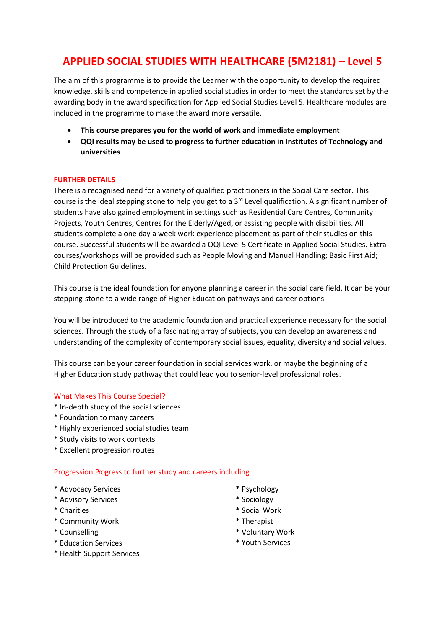# **APPLIED SOCIAL STUDIES WITH HEALTHCARE (5M2181) – Level 5**

The aim of this programme is to provide the Learner with the opportunity to develop the required knowledge, skills and competence in applied social studies in order to meet the standards set by the awarding body in the award specification for Applied Social Studies Level 5. Healthcare modules are included in the programme to make the award more versatile.

- **This course prepares you for the world of work and immediate employment**
- **QQI results may be used to progress to further education in Institutes of Technology and universities**

## **FURTHER DETAILS**

There is a recognised need for a variety of qualified practitioners in the Social Care sector. This course is the ideal stepping stone to help you get to a 3<sup>rd</sup> Level qualification. A significant number of students have also gained employment in settings such as Residential Care Centres, Community Projects, Youth Centres, Centres for the Elderly/Aged, or assisting people with disabilities. All students complete a one day a week work experience placement as part of their studies on this course. Successful students will be awarded a QQI Level 5 Certificate in Applied Social Studies. Extra courses/workshops will be provided such as People Moving and Manual Handling; Basic First Aid; Child Protection Guidelines.

This course is the ideal foundation for anyone planning a career in the social care field. It can be your stepping-stone to a wide range of Higher Education pathways and career options.

You will be introduced to the academic foundation and practical experience necessary for the social sciences. Through the study of a fascinating array of subjects, you can develop an awareness and understanding of the complexity of contemporary social issues, equality, diversity and social values.

This course can be your career foundation in social services work, or maybe the beginning of a Higher Education study pathway that could lead you to senior-level professional roles.

## What Makes This Course Special?

- \* In-depth study of the social sciences
- \* Foundation to many careers
- \* Highly experienced social studies team
- \* Study visits to work contexts
- \* Excellent progression routes

### Progression Progress to further study and careers including

- \* Advocacy Services
- \* Advisory Services
- \* Charities
- \* Community Work
- \* Counselling
- \* Education Services
- \* Health Support Services
- \* Psychology
- \* Sociology
- \* Social Work
- \* Therapist
- \* Voluntary Work
- \* Youth Services